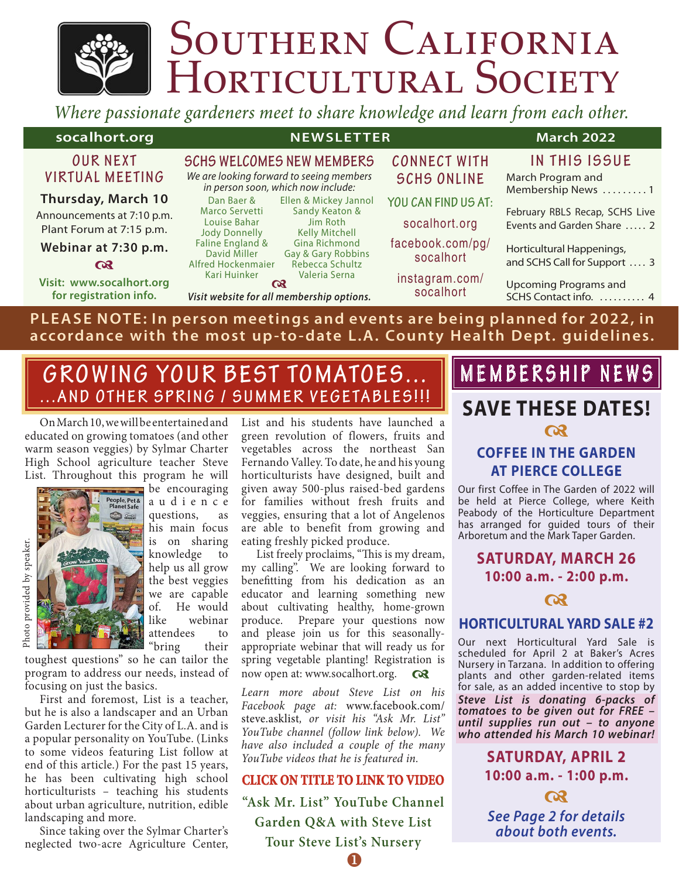# SOUTHERN CALIFORNIA<br>HORTICULTURAL SOCIETY

*Where passionate gardeners meet to share knowledge and learn from each other.*

| socalhort.org                                                             | <b>NEWSLETTER</b>                                                                                      |                               | <b>March 2022</b>                                            |
|---------------------------------------------------------------------------|--------------------------------------------------------------------------------------------------------|-------------------------------|--------------------------------------------------------------|
| <b>OUR NEXT</b>                                                           | <b>SCHS WELCOMES NEW MEMBERS</b>                                                                       | <b>CONNECT WITH</b>           | IN THIS ISSUE                                                |
| VIRTUAL MEETING                                                           | We are looking forward to seeing members<br>in person soon, which now include:                         | <b>SCHS ONLINE</b>            | March Program and<br>Membership News 1                       |
| <b>Thursday, March 10</b>                                                 | Ellen & Mickey Jannol<br>Dan Baer &                                                                    | YOU CAN FIND US AT:           |                                                              |
| Announcements at 7:10 p.m.<br>Plant Forum at 7:15 p.m.                    | Sandy Keaton &<br>Marco Servetti<br>Louise Bahar<br>Jim Roth<br><b>Jody Donnelly</b><br>Kelly Mitchell | socalhort.org                 | February RBLS Recap, SCHS Live<br>Events and Garden Share  2 |
| Webinar at 7:30 p.m.                                                      | Faline England &<br>Gina Richmond<br>David Miller<br>Gay & Gary Robbins                                | facebook.com/pg/<br>socalhort | Horticultural Happenings,                                    |
| $\alpha$                                                                  | Rebecca Schultz<br>Alfred Hockenmaier                                                                  |                               | and SCHS Call for Support  3                                 |
| Visit: www.socalhort.org<br>for registration info.                        | Kari Huinker<br>Valeria Serna<br>$\alpha$<br>Visit website for all membership options.                 | instagram.com/<br>socalhort   | <b>Upcoming Programs and</b><br>SCHS Contact info.  4        |
| PLEASE NOTE: In person meetings and events are being planned for 2022, in |                                                                                                        |                               |                                                              |

**accordance with the most up-to-date L.A. County Health Dept. guidelines.**

# **GROWING YOUR BEST TOMATOES... ...AND OTHER SPRING / SUMMER VEGETABLES!!!**

On March 10, we will be entertained and educated on growing tomatoes (and other warm season veggies) by Sylmar Charter High School agriculture teacher Steve List. Throughout this program he will



be encouraging a u d i e n c e questions, as his main focus is on sharing knowledge to help us all grow the best veggies we are capable of. He would like webinar attendees to "bring their

toughest questions" so he can tailor the program to address our needs, instead of focusing on just the basics.

First and foremost, List is a teacher, but he is also a landscaper and an Urban Garden Lecturer for the City of L.A. and is a popular personality on YouTube. (Links to some videos featuring List follow at end of this article.) For the past 15 years, he has been cultivating high school horticulturists – teaching his students about urban agriculture, nutrition, edible landscaping and more.

Since taking over the Sylmar Charter's neglected two-acre Agriculture Center, List and his students have launched a green revolution of flowers, fruits and vegetables across the northeast San Fernando Valley. To date, he and his young horticulturists have designed, built and given away 500-plus raised-bed gardens for families without fresh fruits and veggies, ensuring that a lot of Angelenos are able to benefit from growing and eating freshly picked produce.

List freely proclaims, "This is my dream, my calling". We are looking forward to benefitting from his dedication as an educator and learning something new about cultivating healthy, home-grown produce. Prepare your questions now and please join us for this seasonallyappropriate webinar that will ready us for spring vegetable planting! Registration is now open at: www.socalhort.org.  $Q_3$ 

*Learn more about Steve List on his Facebook page at:* www.facebook.com/ steve.asklist*, or visit his "Ask Mr. List" YouTube channel (follow link below). We have also included a couple of the many YouTube videos that he is featured in.*

#### **CLICK ON TITLE TO LINK TO VIDEO**

**"Ask Mr. List" YouTube Channel Garden Q&A with Steve List Tour Steve List's Nursery**  $\mathbf 0$ 

# **MEMBERSHIP NEWS**

# **SAVE THESE DATES!**  $\boldsymbol{\alpha}$

# **COFFEE IN THE GARDEN AT PIERCE COLLEGE**

Our first Coffee in The Garden of 2022 will be held at Pierce College, where Keith Peabody of the Horticulture Department has arranged for guided tours of their Arboretum and the Mark Taper Garden.

**SATURDAY, MARCH 26 10:00 a.m. - 2:00 p.m.**



#### **HORTICULTURAL YARD SALE #2**

Our next Horticultural Yard Sale is scheduled for April 2 at Baker's Acres Nursery in Tarzana. In addition to offering plants and other garden-related items for sale, as an added incentive to stop by *Steve List is donating 6-packs of tomatoes to be given out for FREE – until supplies run out – to anyone who attended his March 10 webinar!*

> **SATURDAY, APRIL 2 10:00 a.m. - 1:00 p.m.**

*See Page 2 for details about both events.*

 $\boldsymbol{\alpha}$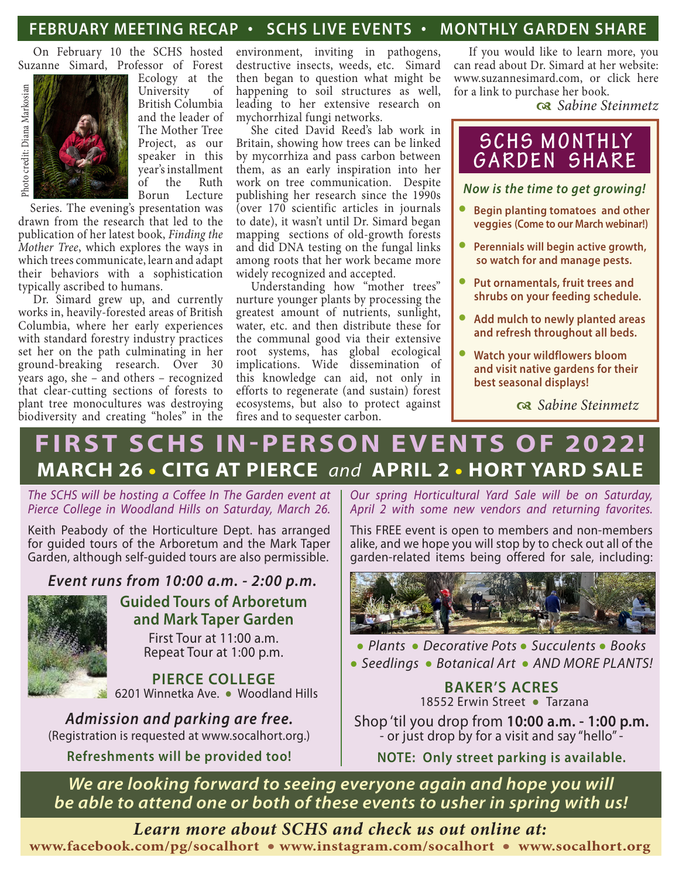# **FEBRUARY MEETING RECAP • SCHS LIVE EVENTS • MONTHLY GARDEN SHARE**

On February 10 the SCHS hosted Suzanne Simard, Professor of Forest



Ecology at the University of British Columbia and the leader of The Mother Tree Project, as our speaker in this year's installment of the Ruth<br>Borun Lecture Lecture

Series. The evening's presentation was drawn from the research that led to the publication of her latest book, *Finding the Mother Tree*, which explores the ways in which trees communicate, learn and adapt their behaviors with a sophistication typically ascribed to humans.

Dr. Simard grew up, and currently works in, heavily-forested areas of British Columbia, where her early experiences with standard forestry industry practices set her on the path culminating in her ground-breaking research. Over 30 years ago, she – and others – recognized that clear-cutting sections of forests to plant tree monocultures was destroying biodiversity and creating "holes" in the environment, inviting in pathogens, destructive insects, weeds, etc. Simard then began to question what might be happening to soil structures as well, leading to her extensive research on mychorrhizal fungi networks.

She cited David Reed's lab work in Britain, showing how trees can be linked by mycorrhiza and pass carbon between them, as an early inspiration into her work on tree communication. Despite publishing her research since the 1990s (over 170 scientific articles in journals to date), it wasn't until Dr. Simard began mapping sections of old-growth forests and did DNA testing on the fungal links among roots that her work became more widely recognized and accepted.

Understanding how "mother trees" nurture younger plants by processing the greatest amount of nutrients, sunlight, water, etc. and then distribute these for the communal good via their extensive root systems, has global ecological implications. Wide dissemination of this knowledge can aid, not only in efforts to regenerate (and sustain) forest ecosystems, but also to protect against fires and to sequester carbon.

If you would like to learn more, you can read about Dr. Simard at her website: www.suzannesimard.com, or click here for a link to purchase her book.

d *Sabine Steinmetz*

# **SCHS MONTHLY GARDEN SHARE**

*Now is the time to get growing!*

- **• Begin planting tomatoes and other veggies (Come to our March webinar!)**
- **• Perennials will begin active growth, so watch for and manage pests.**
- **• Put ornamentals, fruit trees and shrubs on your feeding schedule.**
- **• Add mulch to newly planted areas and refresh throughout all beds.**
- **• Watch your wildflowers bloom and visit native gardens for their best seasonal displays!**

d *Sabine Steinmetz*

# **FIRST SCHS IN-PERSON EVENTS OF 2022! MARCH 26 • CITG AT PIERCE** *and* **APRIL 2 • HORT YARD SALE**

*The SCHS will be hosting a Coffee In The Garden event at Pierce College in Woodland Hills on Saturday, March 26.*

Keith Peabody of the Horticulture Dept. has arranged for guided tours of the Arboretum and the Mark Taper Garden, although self-guided tours are also permissible.

*Event runs from 10:00 a.m. - 2:00 p.m.*



## **Guided Tours of Arboretum and Mark Taper Garden** First Tour at 11:00 a.m.

Repeat Tour at 1:00 p.m.

**PIERCE COLLEGE**6201 Winnetka Ave. **•** Woodland Hills

*Admission and parking are free.* (Registration is requested at www.socalhort.org.)

**Refreshments will be provided too!**

*Our spring Horticultural Yard Sale will be on Saturday, April 2 with some new vendors and returning favorites.* 

This FREE event is open to members and non-members alike, and we hope you will stop by to check out all of the garden-related items being offered for sale, including:



**•** *Plants* **•** *Decorative Pots* **•** *Succulents* **•** *Books* **•** *Seedlings* **•** *Botanical Art* **•** *AND MORE PLANTS!*

#### **BAKER'S ACRES**18552 Erwin Street **•** Tarzana

Shop 'til you drop from **10:00 a.m. - 1:00 p.m.** - or just drop by for a visit and say "hello" -

**NOTE: Only street parking is available.**

*We are looking forward to seeing everyone again and hope you will be able to attend one or both of these events to usher in spring with us!*

*Learn more about SCHS and check us out online at:* **www.facebook.com/pg/socalhort • www.instagram.com/socalhort • www.socalhort.org**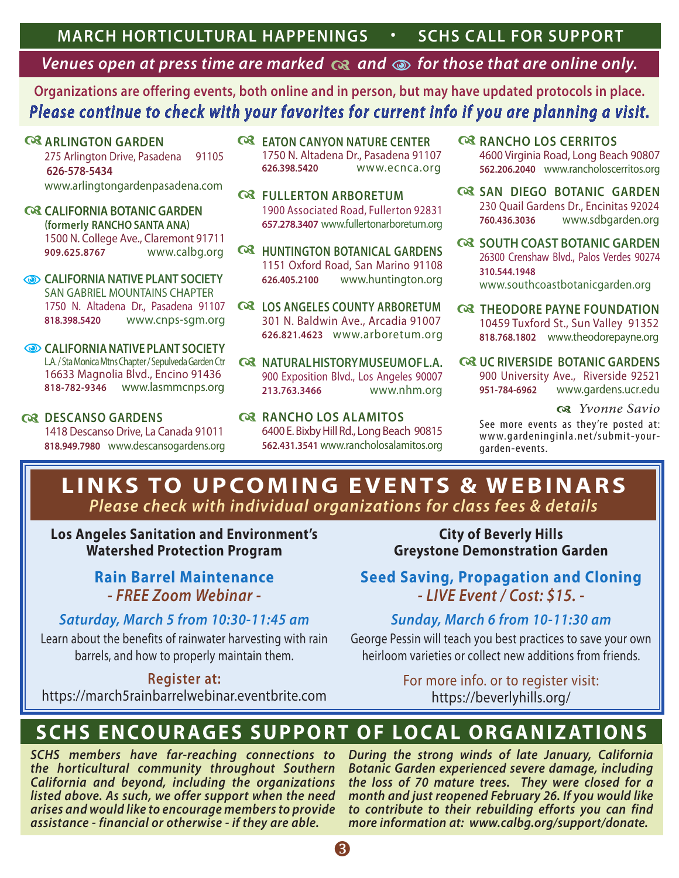# *Venues open at press time are marked*  $\alpha$  *and*  $\phi$  *for those that are online only.*

**Organizations are offering events, both online and in person, but may have updated protocols in place.**  *Please continue to check with your favorites for current info if you are planning a visit.*

**ARLINGTON GARDEN** 275 Arlington Drive, Pasadena 91105  **626-578-5434** www.arlingtongardenpasadena.com

- **C**& CALIFORNIA BOTANIC GARDEN **(formerly RANCHO SANTA ANA)** 1500 N. College Ave., Claremont 91711 **909.625.8767** www.calbg.org
- **CALIFORNIA NATIVE PLANT SOCIETY** SAN GABRIEL MOUNTAINS CHAPTER 1750 N. Altadena Dr., Pasadena 91107 **818.398.5420** www.cnps-sgm.org
- **CALIFORNIA NATIVE PLANT SOCIETY** L.A. / Sta Monica Mtns Chapter / Sepulveda Garden Ctr 16633 Magnolia Blvd., Encino 91436 **818-782-9346** www.lasmmcnps.org
- **Q3 DESCANSO GARDENS** 1418 Descanso Drive, La Canada 91011 **818.949.7980** www.descansogardens.org
- **C**& EATON CANYON NATURE CENTER 1750 N. Altadena Dr., Pasadena 91107 **626.398.5420** www.ecnca.org
- **Q FULLERTON ARBORETUM** 1900 Associated Road, Fullerton 92831 **657.278.3407** www.fullertonarboretum.org
- **Q HUNTINGTON BOTANICAL GARDENS** 1151 Oxford Road, San Marino 91108 **626.405.2100** www.huntington.org
- **C**& LOS ANGELES COUNTY ARBORETUM 301 N. Baldwin Ave., Arcadia 91007 **626.821.4623** www.arboretum.org
- **Q& NATURALHISTORYMUSEUMOFL.A.** 900 Exposition Blvd., Los Angeles 90007 **213.763.3466** www.nhm.org
- **Q3 RANCHO LOS ALAMITOS** 6400 E. Bixby Hill Rd., Long Beach 90815 **562.431.3541** www.rancholosalamitos.org
- **RANCHO LOS CERRITOS** 4600 Virginia Road, Long Beach 90807 **562.206.2040** www.rancholoscerritos.org
- **Q& SAN DIEGO BOTANIC GARDEN** 230 Quail Gardens Dr., Encinitas 92024 **760.436.3036** www.sdbgarden.org
- **Q SOUTH COAST BOTANIC GARDEN** 26300 Crenshaw Blvd., Palos Verdes 90274 **310.544.1948** www.southcoastbotanicgarden.org
- **Q THEODORE PAYNE FOUNDATION** 10459 Tuxford St., Sun Valley 91352 **818.768.1802** www.theodorepayne.org
- **Q3 UC RIVERSIDE BOTANIC GARDENS** 900 University Ave., Riverside 92521 **951-784-6962** www.gardens.ucr.edu

d *Yvonne Savio*

See more events as they're posted at: www.gardeninginla.net/submit-yourgarden-events.

# **LINKS TO UPCOMING EVENTS & WEBINARS** *Please check with individual organizations for class fees & details*

**Los Angeles Sanitation and Environment's Watershed Protection Program**

# **Rain Barrel Maintenance** *- FREE Zoom Webinar -*

# *Saturday, March 5 from 10:30-11:45 am*

Learn about the benefits of rainwater harvesting with rain barrels, and how to properly maintain them.

**Register at:** 

https://march5rainbarrelwebinar.eventbrite.com

**City of Beverly Hills Greystone Demonstration Garden**

**Seed Saving, Propagation and Cloning** *- LIVE Event / Cost: \$15. -*

# *Sunday, March 6 from 10-11:30 am*

George Pessin will teach you best practices to save your own heirloom varieties or collect new additions from friends.

> For more info. or to register visit: https://beverlyhills.org/

# **SCHS ENCOURAGES SUPPORT OF LOCAL ORGANIZATIONS**

*SCHS members have far-reaching connections to the horticultural community throughout Southern California and beyond, including the organizations listed above. As such, we offer support when the need arises and would like to encourage members to provide assistance - financial or otherwise - if they are able.* 

*During the strong winds of late January, California Botanic Garden experienced severe damage, including the loss of 70 mature trees. They were closed for a month and just reopened February 26. If you would like to contribute to their rebuilding efforts you can find more information at: www.calbg.org/support/donate.*

ß.